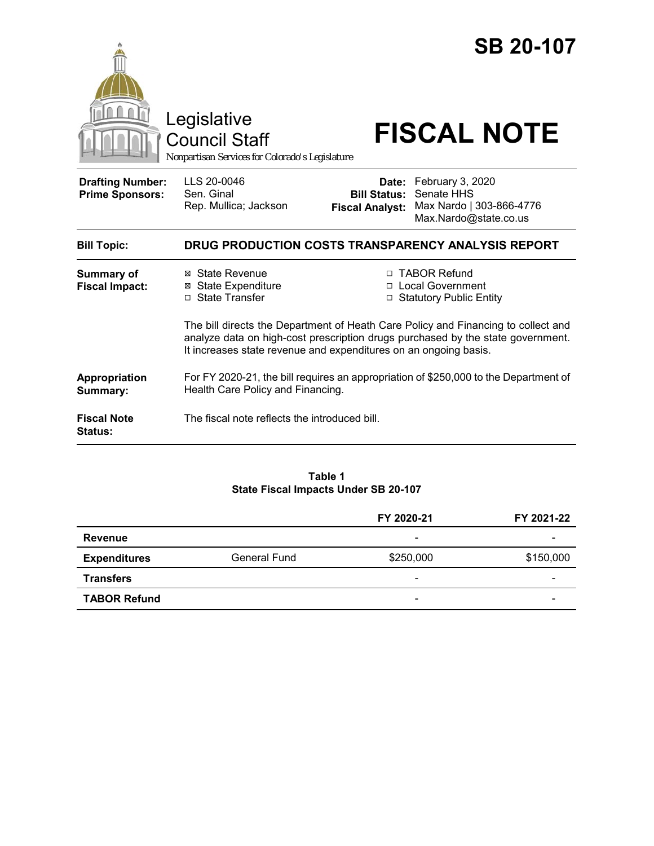|                                                   | Legislative<br><b>Council Staff</b><br>Nonpartisan Services for Colorado's Legislature                                                                                                                                                   |                                               | <b>SB 20-107</b><br><b>FISCAL NOTE</b>                                                    |  |
|---------------------------------------------------|------------------------------------------------------------------------------------------------------------------------------------------------------------------------------------------------------------------------------------------|-----------------------------------------------|-------------------------------------------------------------------------------------------|--|
| <b>Drafting Number:</b><br><b>Prime Sponsors:</b> | LLS 20-0046<br>Sen. Ginal<br>Rep. Mullica; Jackson                                                                                                                                                                                       | <b>Bill Status:</b><br><b>Fiscal Analyst:</b> | Date: February 3, 2020<br>Senate HHS<br>Max Nardo   303-866-4776<br>Max.Nardo@state.co.us |  |
| <b>Bill Topic:</b>                                | DRUG PRODUCTION COSTS TRANSPARENCY ANALYSIS REPORT                                                                                                                                                                                       |                                               |                                                                                           |  |
| <b>Summary of</b><br><b>Fiscal Impact:</b>        | ⊠ State Revenue<br><b>State Expenditure</b><br>⊠<br>□ State Transfer                                                                                                                                                                     | п                                             | <b>TABOR Refund</b><br>□ Local Government<br>□ Statutory Public Entity                    |  |
|                                                   | The bill directs the Department of Heath Care Policy and Financing to collect and<br>analyze data on high-cost prescription drugs purchased by the state government.<br>It increases state revenue and expenditures on an ongoing basis. |                                               |                                                                                           |  |
| Appropriation<br>Summary:                         | For FY 2020-21, the bill requires an appropriation of \$250,000 to the Department of<br>Health Care Policy and Financing.                                                                                                                |                                               |                                                                                           |  |
| <b>Fiscal Note</b><br><b>Status:</b>              | The fiscal note reflects the introduced bill.                                                                                                                                                                                            |                                               |                                                                                           |  |

### **Table 1 State Fiscal Impacts Under SB 20-107**

|                     |              | FY 2020-21               | FY 2021-22 |
|---------------------|--------------|--------------------------|------------|
| <b>Revenue</b>      |              | -                        |            |
| <b>Expenditures</b> | General Fund | \$250,000                | \$150,000  |
| <b>Transfers</b>    |              | -                        |            |
| <b>TABOR Refund</b> |              | $\overline{\phantom{0}}$ |            |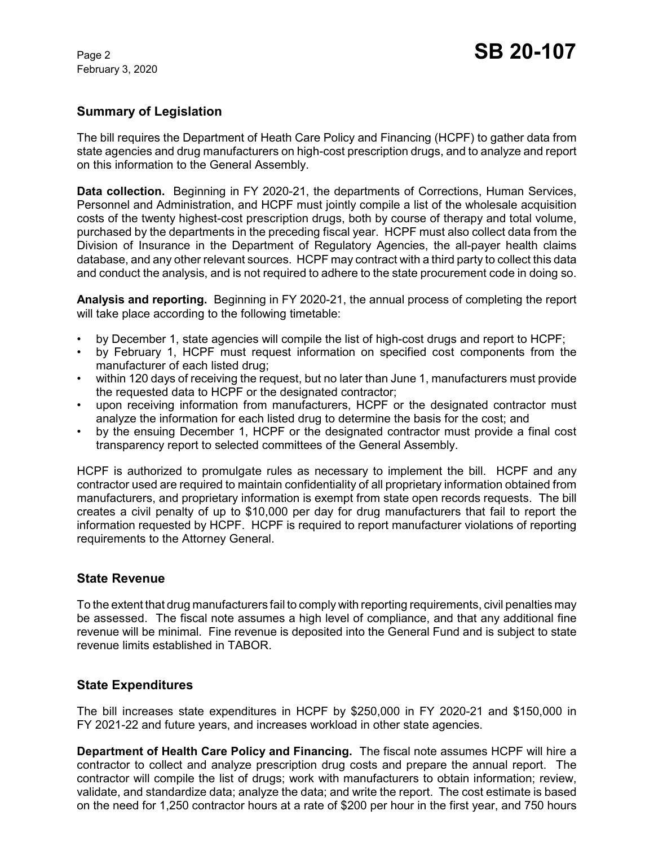February 3, 2020

# **Summary of Legislation**

The bill requires the Department of Heath Care Policy and Financing (HCPF) to gather data from state agencies and drug manufacturers on high-cost prescription drugs, and to analyze and report on this information to the General Assembly.

**Data collection.** Beginning in FY 2020-21, the departments of Corrections, Human Services, Personnel and Administration, and HCPF must jointly compile a list of the wholesale acquisition costs of the twenty highest-cost prescription drugs, both by course of therapy and total volume, purchased by the departments in the preceding fiscal year. HCPF must also collect data from the Division of Insurance in the Department of Regulatory Agencies, the all-payer health claims database, and any other relevant sources. HCPF may contract with a third party to collect this data and conduct the analysis, and is not required to adhere to the state procurement code in doing so.

**Analysis and reporting.** Beginning in FY 2020-21, the annual process of completing the report will take place according to the following timetable:

- by December 1, state agencies will compile the list of high-cost drugs and report to HCPF;
- by February 1, HCPF must request information on specified cost components from the manufacturer of each listed drug;
- within 120 days of receiving the request, but no later than June 1, manufacturers must provide the requested data to HCPF or the designated contractor;
- upon receiving information from manufacturers, HCPF or the designated contractor must analyze the information for each listed drug to determine the basis for the cost; and
- by the ensuing December 1, HCPF or the designated contractor must provide a final cost transparency report to selected committees of the General Assembly.

HCPF is authorized to promulgate rules as necessary to implement the bill. HCPF and any contractor used are required to maintain confidentiality of all proprietary information obtained from manufacturers, and proprietary information is exempt from state open records requests. The bill creates a civil penalty of up to \$10,000 per day for drug manufacturers that fail to report the information requested by HCPF. HCPF is required to report manufacturer violations of reporting requirements to the Attorney General.

## **State Revenue**

To the extent that drug manufacturers fail to comply with reporting requirements, civil penalties may be assessed. The fiscal note assumes a high level of compliance, and that any additional fine revenue will be minimal. Fine revenue is deposited into the General Fund and is subject to state revenue limits established in TABOR.

## **State Expenditures**

The bill increases state expenditures in HCPF by \$250,000 in FY 2020-21 and \$150,000 in FY 2021-22 and future years, and increases workload in other state agencies.

**Department of Health Care Policy and Financing.** The fiscal note assumes HCPF will hire a contractor to collect and analyze prescription drug costs and prepare the annual report. The contractor will compile the list of drugs; work with manufacturers to obtain information; review, validate, and standardize data; analyze the data; and write the report. The cost estimate is based on the need for 1,250 contractor hours at a rate of \$200 per hour in the first year, and 750 hours